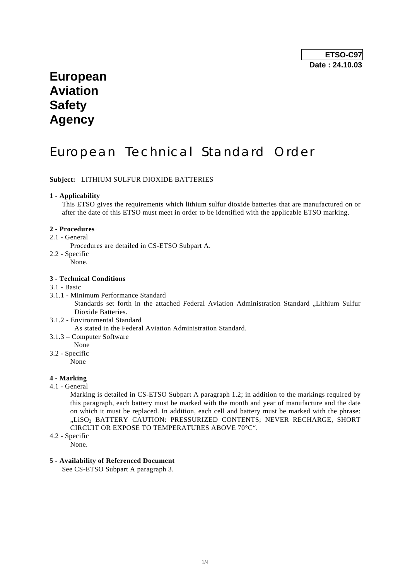# **European Aviation Safety Agency**

# European Technical Standard Order

# **Subject:** LITHIUM SULFUR DIOXIDE BATTERIES

## **1 - Applicability**

 This ETSO gives the requirements which lithium sulfur dioxide batteries that are manufactured on or after the date of this ETSO must meet in order to be identified with the applicable ETSO marking.

### **2 - Procedures**

2.1 - General

Procedures are detailed in CS-ETSO Subpart A.

- 2.2 Specific
	- None.

# **3 - Technical Conditions**

# 3.1 - Basic

- 3.1.1 Minimum Performance Standard Standards set forth in the attached Federal Aviation Administration Standard "Lithium Sulfur Dioxide Batteries.
- 3.1.2 Environmental Standard As stated in the Federal Aviation Administration Standard.
- 3.1.3 Computer Software
- None

# 3.2 - Specific

.<br>None

# **4 - Marking**

4.1 - General

 Marking is detailed in CS-ETSO Subpart A paragraph 1.2; in addition to the markings required by this paragraph, each battery must be marked with the month and year of manufacture and the date on which it must be replaced. In addition, each cell and battery must be marked with the phrase: "LISO<sub>2</sub> BATTERY CAUTION: PRESSURIZED CONTENTS: NEVER RECHARGE, SHORT CIRCUIT OR EXPOSE TO TEMPERATURES ABOVE 70°C".

- 4.2 Specific
	- None.

# **5 - Availability of Referenced Document**

See CS-ETSO Subpart A paragraph 3.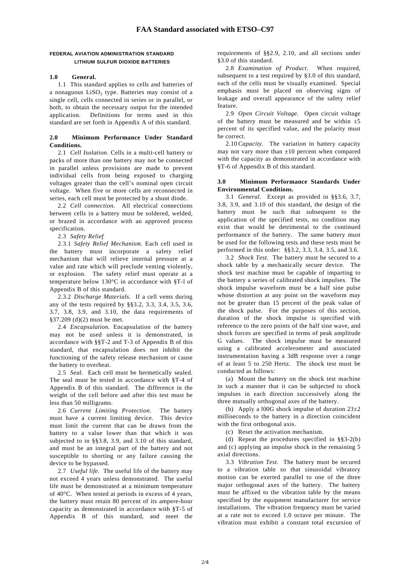# **FEDERAL AVIATION ADMINISTRATION STANDARD LITHIUM SULFUR DIOXIDE BATTERIES**

# **1.0 General.**

 1.1 This standard applies to cells and batteries of a nonaguous  $LiSO<sub>2</sub>$  type. Batteries may consist of a single cell, cells connected in series or in parallel, or both, to obtain the necessary output for the intended application. Definitions for terms used in this standard are set forth in Appendix A of this standard.

### **2.0 Minimum Performance Under Standard Conditions.**

 2.1 *Cell Isolation.* Cells in a multi-cell battery or packs of more than one battery may not be connected in parallel unless provisions are made to prevent individual cells from being exposed to charging voltages greater than the cell's nominal open circuit voltage. When five or more cells are reconnected in series, each cell must be protected by a shunt diode.

 2.2 *Cell connection.* All electrical connections between cells in a battery must be soldered, welded, or brazed in accordance with an approved process specification.

2.3 *Safety Relief* 

 2.3.1 *Safety Relief Mechanism.* Each cell used in the battery must incorporate a safety relief mechanism that will relieve internal pressure at a value and rate which will preclude venting violently, or explosion. The safety relief must operate at a temperature below 130°C in accordance with §T-l of Appendix B of this standard.

 2.3.2 *Discharge Materials.* If a cell vents during any of the tests required by §§3.2, 3.3, 3.4, 3.5, 3.6, 3.7, 3.8, 3.9, and 3.10, the data requirements of §37.209 (d)(2) must be met.

 2.4 *Encapsulation.* Encapsulation of the battery may not be used unless it is demonstrated, in accordance with §§T-2 and T-3 of Appendix B of this standard, that encapsulation does not inhibit the functioning of the safety release mechanism or cause the battery to overheat.

 2.5 *Seal.* Each cell must be hermetically sealed. The seal must be tested in accordance with §T-4 of Appendix B of this standard. The difference in the weight of the cell before and after this test must be less than 50 milligrams.

 2.6 *Current Limiting Protection.* The battery must have a current limiting device. This device must limit the current that can be drawn from the battery to a value lower than that which it was subjected to in §§3.8, 3.9, and 3.10 of this standard, and must be an integral part of the battery and not susceptible to shorting or any failure causing the device to be bypassed.

 2.7 *Useful life.* The useful life of the battery may not exceed 4 years unless demonstrated. The useful life must be demonstrated at a minimum temperature of 40°C. When tested at periods in excess of 4 years, the battery must retain 80 percent of its ampere-hour capacity as demonstrated in accordance with §T-5 of Appendix B of this standard, and meet the requirements of §§2.9, 2.10, and all sections under §3.0 of this standard.

 2.8 *Examination of Product.* When required, subsequent to a test required by §3.0 of this standard, each of the cells must be visually examined. Special emphasis must be placed on observing signs of leakage and overall appearance of the safety relief feature.

 2.9 *Open Circuit Voltage.* Open circuit voltage of the battery must be measured and be within  $\pm 5$ percent of its specified value, and the polarity must be correct.

 2.10 *Capacity.* The variation in battery capacity may not vary more than  $\pm 10$  percent when compared with the capacity as demonstrated in accordance with §T-6 of Appendix B of this standard.

## **3.0 Minimum Performance Standards Under Environmental Conditions.**

 3.1 *General.* Except as provided in §§3.6, 3.7, 3.8, 3.9, and 3.10 of this standard, the design of the battery must be such that subsequent to the application of the specified tests, no condition may exist that would be detrimental to the continued performance of the battery. The same battery must be used for the following tests and these tests must be performed in this order: §§3.2, 3.3, 3.4, 3.5, and 3.6.

 3.2 *Shock Test.* The battery must be secured to a shock table by a mechanically secure device. The shock test machine must be capable of imparting to the battery a series of calibrated shock impulses. The shock impulse waveform must be a half sine pulse whose distortion at any point on the waveform may not be greater than 15 percent of the peak value of the shock pulse. For the purposes of this section, duration of the shock impulse is specified with reference to the zero points of the half sine wave, and shock forces are specified in terms of peak amplitude G values. The shock impulse must be measured using a calibrated accelerometer and associated instrumentation having a 3dB response over a range of at least 5 to 250 Hertz. The shock test must be conducted as follows:

 (a) Mount the battery on the shock test machine in such a manner that it can be subjected to shock impulses in each direction successively along the three mutually orthogonal axes of the battery.

(b) Apply a l00G shock impulse of duration  $23\pm2$ milliseconds to the battery in a direction coincident with the first orthogonal axis.

(c) Reset the activation mechanism.

 (d) Repeat the procedures specified in §§3-2(b) and (c) applying an impulse shock in the remaining 5 axial directions.

 3.3 *Vibration Test.* The battery must be secured to a vibration table so that sinusoidal vibratory motion can be exerted parallel to one of the three major orthogonal axes of the battery. The battery must be affixed to the vibration table by the means specified by the equipment manufacturer for service installations. The vibration frequency must be varied at a rate not to exceed 1.0 octave per minute. The vibration must exhibit a constant total excursion of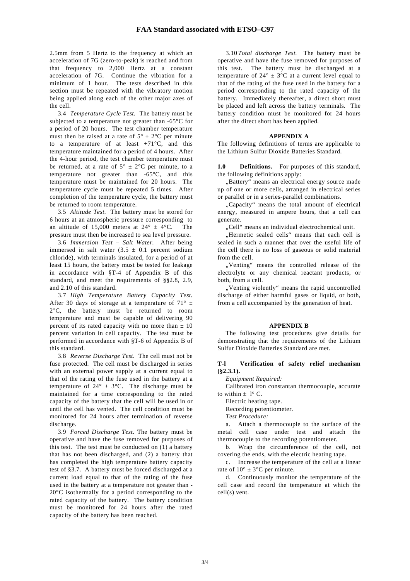2.5mm from 5 Hertz to the frequency at which an acceleration of 7G (zero-to-peak) is reached and from that frequency to 2,000 Hertz at a constant acceleration of 7G. Continue the vibration for a minimum of 1 hour. The tests described in this section must be repeated with the vibratory motion being applied along each of the other major axes of the cell.

 3.4 *Temperature Cycle Test.* The battery must be subjected to a temperature not greater than -65°C for a period of 20 hours. The test chamber temperature must then be raised at a rate of  $5^{\circ} \pm 2^{\circ}$ C per minute to a temperature of at least  $+71^{\circ}$ C, and this temperature maintained for a period of 4 hours. After the 4-hour period, the test chamber temperature must be returned, at a rate of  $5^{\circ} \pm 2^{\circ}$ C per minute, to a temperature not greater than -65°C, and this temperature must be maintained for 20 hours. The temperature cycle must be repeated 5 times. After completion of the temperature cycle, the battery must be returned to room temperature.

 3.5 *Altitude Test.* The battery must be stored for 6 hours at an atmospheric pressure corresponding to an altitude of 15,000 meters at  $24^{\circ} \pm 4^{\circ}$ C. The pressure must then be increased to sea level pressure.

 3.6 *Immersion Test – Salt Water.* After being immersed in salt water  $(3.5 \pm 0.1)$  percent sodium chloride), with terminals insulated, for a period of at least 15 hours, the battery must be tested for leakage in accordance with §T-4 of Appendix B of this standard, and meet the requirements of §§2.8, 2.9, and 2.10 of this standard.

 3.7 *High Temperature Battery Capacity Test.*  After 30 days of storage at a temperature of 71 $\degree$  ± 2°C, the battery must be returned to room temperature and must be capable of delivering 90 percent of its rated capacity with no more than  $\pm 10$ percent variation in cell capacity. The test must be performed in accordance with §T-6 of Appendix B of this standard.

 3.8 *Reverse Discharge Test.* The cell must not be fuse protected. The cell must be discharged in series with an external power supply at a current equal to that of the rating of the fuse used in the battery at a temperature of  $24^{\circ} \pm 3^{\circ}$ C. The discharge must be maintained for a time corresponding to the rated capacity of the battery that the cell will be used in or until the cell has vented. The cell condition must be monitored for 24 hours after termination of reverse discharge.

 3.9 *Forced Discharge Test.* The battery must be operative and have the fuse removed for purposes of this test. The test must be conducted on (1) a battery that has not been discharged, and (2) a battery that has completed the high temperature battery capacity test of §3.7. A battery must be forced discharged at a current load equal to that of the rating of the fuse used in the battery at a temperature not greater than - 20°C isothermally for a period corresponding to the rated capacity of the battery. The battery condition must be monitored for 24 hours after the rated capacity of the battery has been reached.

 3.10 *Total discharge Test.* The battery must be operative and have the fuse removed for purposes of this test. The battery must be discharged at a temperature of  $24^{\circ} \pm 3^{\circ}$ C at a current level equal to that of the rating of the fuse used in the battery for a period corresponding to the rated capacity of the battery. Immediately thereafter, a direct short must be placed and left across the battery terminals. The battery condition must be monitored for 24 hours after the direct short has been applied.

#### **APPENDIX A**

The following definitions of terms are applicable to the Lithium Sulfur Dioxide Batteries Standard.

**1.0 Definitions.** For purposes of this standard, the following definitions apply:

"Battery" means an electrical energy source made up of one or more cells, arranged in electrical series or parallel or in a series-parallel combinations.

"Capacity" means the total amount of electrical energy, measured in ampere hours, that a cell can generate.

"Cell" means an individual electrochemical unit.

..Hermetic sealed cells" means that each cell is sealed in such a manner that over the useful life of the cell there is no loss of gaseous or solid material from the cell.

"Venting" means the controlled release of the electrolyte or any chemical reactant products, or both, from a cell.

 "Venting violently" means the rapid uncontrolled discharge of either harmful gases or liquid, or both, from a cell accompanied by the generation of heat.

#### **APPENDIX B**

 The following test procedures give details for demonstrating that the requirements of the Lithium Sulfur Dioxide Batteries Standard are met.

#### **T-l Verification of safety relief mechanism (§2.3.1).**

*Equipment Required:* 

 Calibrated iron constantan thermocouple, accurate to within  $+ 1^\circ$  C.

Electric heating tape.

Recording potentiometer.

 *Test Procedure:* 

 a. Attach a thermocouple to the surface of the metal cell case under test and attach the thermocouple to the recording potentiometer.

 b. Wrap the circumference of the cell, not covering the ends, with the electric heating tape.

 c. Increase the temperature of the cell at a linear rate of  $10^{\circ} \pm 3^{\circ}$ C per minute.

 d. Continuously monitor the temperature of the cell case and record the temperature at which the cell(s) vent.